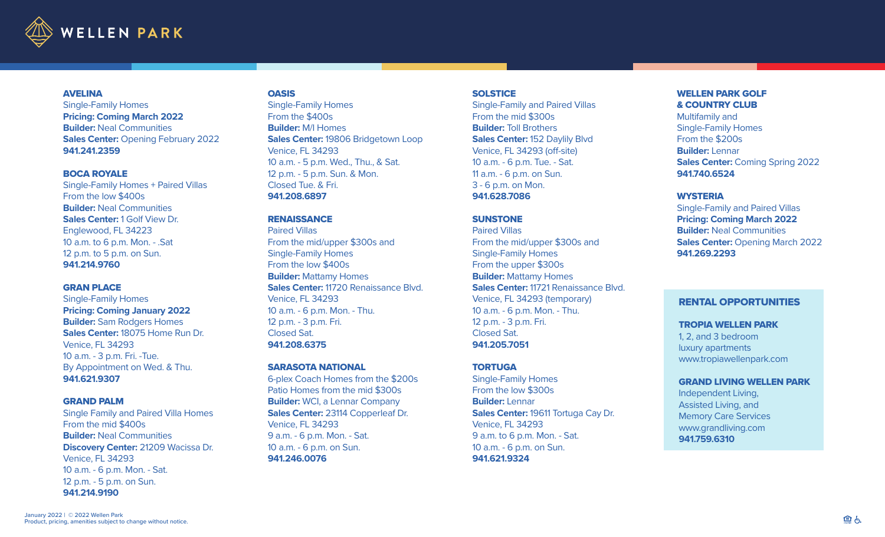

### **AVELINA**

Single-Family Homes **Pricing: Coming March 2022 Builder:** Neal Communities **Sales Center:** Opening February 2022 **941.241.2359** 

## BOCA ROYALE

Single-Family Homes + Paired Villas From the low \$400s **Builder:** Neal Communities **Sales Center:** 1 Golf View Dr. Englewood, FL 34223 10 a.m. to 6 p.m. Mon. - .Sat 12 p.m. to 5 p.m. on Sun. **941.214.9760**

#### GRAN PLACE

Single-Family Homes **Pricing: Coming January 2022 Builder:** Sam Rodgers Homes **Sales Center:** 18075 Home Run Dr. Venice, FL 34293 10 a.m. - 3 p.m. Fri. -Tue. By Appointment on Wed. & Thu. **941.621.9307**

### GRAND PALM

Single Family and Paired Villa Homes From the mid \$400s **Builder:** Neal Communities **Discovery Center:** 21209 Wacissa Dr. Venice, FL 34293 10 a.m. - 6 p.m. Mon. - Sat. 12 p.m. - 5 p.m. on Sun. **941.214.9190**

#### **OASIS**

Single-Family Homes From the \$400s **Builder:** M/I Homes **Sales Center:** 19806 Bridgetown Loop Venice, FL 34293 10 a.m. - 5 p.m. Wed., Thu., & Sat. 12 p.m. - 5 p.m. Sun. & Mon. Closed Tue. & Fri. **941.208.6897**

## **RENAISSANCE**

Paired Villas From the mid/upper \$300s and Single-Family Homes From the low \$400s **Builder:** Mattamy Homes **Sales Center:** 11720 Renaissance Blvd. Venice, FL 34293 10 a.m. - 6 p.m. Mon. - Thu. 12 p.m. - 3 p.m. Fri. Closed Sat. **941.208.6375**

## SARASOTA NATIONAL

6-plex Coach Homes from the \$200s Patio Homes from the mid \$300s **Builder:** WCI, a Lennar Company **Sales Center:** 23114 Copperleaf Dr. Venice, FL 34293 9 a.m. - 6 p.m. Mon. - Sat. 10 a.m. - 6 p.m. on Sun. **941.246.0076**

### **SOLSTICE**

Single-Family and Paired Villas From the mid \$300s **Builder:** Toll Brothers **Sales Center:** 152 Daylily Blvd Venice, FL 34293 (off-site) 10 a.m. - 6 p.m. Tue. - Sat. 11 a.m. - 6 p.m. on Sun. 3 - 6 p.m. on Mon. **941.628.7086**

## **SUNSTONE**

Paired Villas From the mid/upper \$300s and Single-Family Homes From the upper \$300s **Builder:** Mattamy Homes **Sales Center:** 11721 Renaissance Blvd. Venice, FL 34293 (temporary) 10 a.m. - 6 p.m. Mon. - Thu. 12 p.m. - 3 p.m. Fri. Closed Sat. **941.205.7051**

# **TORTUGA**

Single-Family Homes From the low \$300s **Builder:** Lennar **Sales Center:** 19611 Tortuga Cay Dr. Venice, FL 34293 9 a.m. to 6 p.m. Mon. - Sat. 10 a.m. - 6 p.m. on Sun. **941.621.9324**

# WELLEN PARK GOLF & COUNTRY CLUB

Multifamily and Single-Family Homes From the \$200s **Builder:** Lennar **Sales Center:** Coming Spring 2022 **941.740.6524**

## **WYSTERIA**

Single-Family and Paired Villas **Pricing: Coming March 2022 Builder:** Neal Communities **Sales Center:** Opening March 2022 **941.269.2293**

## RENTAL OPPORTUNITIES

#### TROPIA WELLEN PARK

1, 2, and 3 bedroom luxury apartments www.tropiawellenpark.com

#### GRAND LIVING WELLEN PARK

Independent Living, Assisted Living, and Memory Care Services www.grandliving.com **941.759.6310**